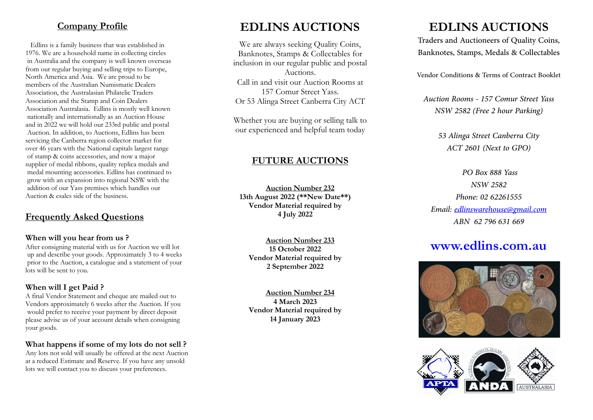### **Company Profile**

Edlins is a family business that was established in 1976. We are a household name in collecting circles in Australia and the company is well known overseas from our regular buying and selling trips to Europe, North America and Asia. We are proud to be members of the Australian Numismatic Dealers Association, the Australasian Philatelic Traders Association and the Stamp and Coin Dealers Association Australasia. Edlins is mostly well known nationally and internationally as an Auction House and in 2022 we will hold our 233rd public and postal Auction. In addition, to Auctions, Edlins has been servicing the Canberra region collector market for over 46 years with the National capitals largest range of stamp & coins accessories, and now a major supplier of medal ribbons, quality replica medals and medal mounting accessories. Edlins has continued to grow with an expansion into regional NSW with the addition of our Yass premises which handles our Auction & esales side of the business.

## **Frequently Asked Questions**

#### **When will you hear from us ?**

After consigning material with us for Auction we will lot up and describe your goods. Approximately 3 to 4 weeks prior to the Auction, a catalogue and a statement of your lots will be sent to you.

### **When will I get Paid ?**

A final Vendor Statement and cheque are mailed out to Vendors approximately 6 weeks after the Auction. If you would prefer to receive your payment by direct deposit please advise us of your account details when consigning your goods.

### **What happens if some of my lots do not sell ?**

Any lots not sold will usually be offered at the next Auction at a reduced Estimate and Reserve. If you have any unsold lots we will contact you to discuss your preferences.

# **EDLINS AUCTIONS**

We are always seeking Quality Coins, Banknotes, Stamps & Collectables for inclusion in our regular public and postal Auctions. Call in and visit our Auction Rooms at 157 Comur Street Yass. Or 53 Alinga Street Canberra City ACT

Whether you are buying or selling talk to our experienced and helpful team today

## **FUTURE AUCTIONS**

**Auction Number 232 13th August 2022 (\*\*New Date\*\*) Vendor Material required by 4 July 2022**

> **Auction Number 233 15 October 2022 Vendor Material required by 2 September 2022**

> **Auction Number 234 4 March 2023 Vendor Material required by 14 January 2023**

# **EDLINS AUCTIONS**

Traders and Auctioneers of Quality Coins, Banknotes, Stamps, Medals & Collectables

Vendor Conditions & Terms of Contract Booklet

*Auction Rooms - 157 Comur Street Yass NSW 2582 (Free 2 hour Parking)*

> *53 Alinga Street Canberra City ACT 2601 (Next to GPO)*

*PO Box 888 Yass NSW 2582 Phone: 02 62261555 Email: edlinswarehouse@gmail.com ABN 62 796 631 669*

# **www.edlins.com.au**